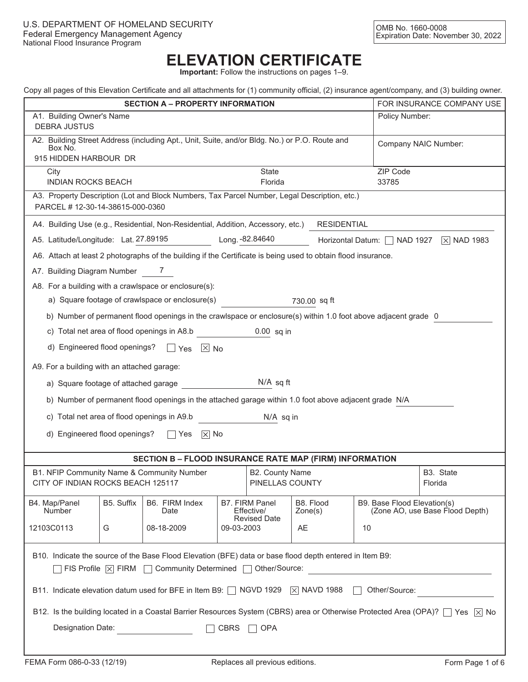# **ELEVATION CERTIFICATE**

**Important:** Follow the instructions on pages 1–9.

|  | Copy all pages of this Elevation Certificate and all attachments for (1) community official, (2) insurance agent/company, and (3) building owner. |  |  |  |  |  |  |
|--|---------------------------------------------------------------------------------------------------------------------------------------------------|--|--|--|--|--|--|
|  |                                                                                                                                                   |  |  |  |  |  |  |
|  |                                                                                                                                                   |  |  |  |  |  |  |
|  |                                                                                                                                                   |  |  |  |  |  |  |

| Copy all pages of this Elevation Centificate and all attachments for (1) community onicial, (2) insurance agent/company, and (5) building owner. |                                                                                                        |                                                                                                                |      |                                     |                      |                             |                                 |  |  |
|--------------------------------------------------------------------------------------------------------------------------------------------------|--------------------------------------------------------------------------------------------------------|----------------------------------------------------------------------------------------------------------------|------|-------------------------------------|----------------------|-----------------------------|---------------------------------|--|--|
| <b>SECTION A - PROPERTY INFORMATION</b>                                                                                                          |                                                                                                        |                                                                                                                |      |                                     |                      |                             | FOR INSURANCE COMPANY USE       |  |  |
| A1. Building Owner's Name<br>Policy Number:<br><b>DEBRA JUSTUS</b>                                                                               |                                                                                                        |                                                                                                                |      |                                     |                      |                             |                                 |  |  |
| A2. Building Street Address (including Apt., Unit, Suite, and/or Bldg. No.) or P.O. Route and<br>Box No.                                         | Company NAIC Number:                                                                                   |                                                                                                                |      |                                     |                      |                             |                                 |  |  |
| 915 HIDDEN HARBOUR DR                                                                                                                            |                                                                                                        |                                                                                                                |      |                                     |                      |                             |                                 |  |  |
| ZIP Code<br><b>State</b><br>City<br><b>INDIAN ROCKS BEACH</b><br>Florida<br>33785                                                                |                                                                                                        |                                                                                                                |      |                                     |                      |                             |                                 |  |  |
| PARCEL # 12-30-14-38615-000-0360                                                                                                                 |                                                                                                        | A3. Property Description (Lot and Block Numbers, Tax Parcel Number, Legal Description, etc.)                   |      |                                     |                      |                             |                                 |  |  |
|                                                                                                                                                  | A4. Building Use (e.g., Residential, Non-Residential, Addition, Accessory, etc.)<br><b>RESIDENTIAL</b> |                                                                                                                |      |                                     |                      |                             |                                 |  |  |
| A5. Latitude/Longitude: Lat. 27.89195                                                                                                            |                                                                                                        |                                                                                                                |      | Long. - 82.84640                    |                      | Horizontal Datum: NAD 1927  | $\boxed{\times}$ NAD 1983       |  |  |
|                                                                                                                                                  |                                                                                                        | A6. Attach at least 2 photographs of the building if the Certificate is being used to obtain flood insurance.  |      |                                     |                      |                             |                                 |  |  |
| A7. Building Diagram Number 7                                                                                                                    |                                                                                                        |                                                                                                                |      |                                     |                      |                             |                                 |  |  |
|                                                                                                                                                  |                                                                                                        | A8. For a building with a crawlspace or enclosure(s):                                                          |      |                                     |                      |                             |                                 |  |  |
|                                                                                                                                                  |                                                                                                        | a) Square footage of crawlspace or enclosure(s)                                                                |      |                                     | 730.00 sq ft         |                             |                                 |  |  |
|                                                                                                                                                  |                                                                                                        | b) Number of permanent flood openings in the crawlspace or enclosure(s) within 1.0 foot above adjacent grade 0 |      |                                     |                      |                             |                                 |  |  |
|                                                                                                                                                  |                                                                                                        | c) Total net area of flood openings in A8.b                                                                    |      | $0.00$ sq in                        |                      |                             |                                 |  |  |
|                                                                                                                                                  |                                                                                                        | d) Engineered flood openings? $\Box$ Yes $\boxtimes$ No                                                        |      |                                     |                      |                             |                                 |  |  |
| A9. For a building with an attached garage:                                                                                                      |                                                                                                        |                                                                                                                |      |                                     |                      |                             |                                 |  |  |
|                                                                                                                                                  | $N/A$ sq ft<br>a) Square footage of attached garage                                                    |                                                                                                                |      |                                     |                      |                             |                                 |  |  |
|                                                                                                                                                  |                                                                                                        | b) Number of permanent flood openings in the attached garage within 1.0 foot above adjacent grade N/A          |      |                                     |                      |                             |                                 |  |  |
|                                                                                                                                                  |                                                                                                        | c) Total net area of flood openings in A9.b                                                                    |      | N/A sq in                           |                      |                             |                                 |  |  |
| d) Engineered flood openings?                                                                                                                    |                                                                                                        | $\overline{\times}$ No<br>  Yes                                                                                |      |                                     |                      |                             |                                 |  |  |
|                                                                                                                                                  |                                                                                                        |                                                                                                                |      |                                     |                      |                             |                                 |  |  |
|                                                                                                                                                  |                                                                                                        | <b>SECTION B - FLOOD INSURANCE RATE MAP (FIRM) INFORMATION</b>                                                 |      |                                     |                      |                             |                                 |  |  |
|                                                                                                                                                  |                                                                                                        | B1. NFIP Community Name & Community Number                                                                     |      | <b>B2. County Name</b>              |                      |                             | B3. State                       |  |  |
| CITY OF INDIAN ROCKS BEACH 125117                                                                                                                |                                                                                                        |                                                                                                                |      | PINELLAS COUNTY                     |                      |                             | Florida                         |  |  |
| B4. Map/Panel<br>Number                                                                                                                          | B5. Suffix                                                                                             | B6. FIRM Index<br>Date                                                                                         |      | <b>B7. FIRM Panel</b><br>Effective/ | B8. Flood<br>Zone(s) | B9. Base Flood Elevation(s) | (Zone AO, use Base Flood Depth) |  |  |
| <b>Revised Date</b><br>12103C0113<br>08-18-2009<br>09-03-2003<br>AE<br>10<br>G                                                                   |                                                                                                        |                                                                                                                |      |                                     |                      |                             |                                 |  |  |
| B10. Indicate the source of the Base Flood Elevation (BFE) data or base flood depth entered in Item B9:                                          |                                                                                                        |                                                                                                                |      |                                     |                      |                             |                                 |  |  |
| $\Box$ FIS Profile $\boxtimes$ FIRM $\Box$ Community Determined $\Box$ Other/Source:                                                             |                                                                                                        |                                                                                                                |      |                                     |                      |                             |                                 |  |  |
| B11. Indicate elevation datum used for BFE in Item B9: $\Box$ NGVD 1929 $\Im$ NAVD 1988<br>Other/Source:                                         |                                                                                                        |                                                                                                                |      |                                     |                      |                             |                                 |  |  |
| B12. Is the building located in a Coastal Barrier Resources System (CBRS) area or Otherwise Protected Area (OPA)?   Yes   X No                   |                                                                                                        |                                                                                                                |      |                                     |                      |                             |                                 |  |  |
| Designation Date:                                                                                                                                |                                                                                                        |                                                                                                                | CBRS | $\Box$ OPA                          |                      |                             |                                 |  |  |
|                                                                                                                                                  |                                                                                                        |                                                                                                                |      |                                     |                      |                             |                                 |  |  |
|                                                                                                                                                  |                                                                                                        |                                                                                                                |      |                                     |                      |                             |                                 |  |  |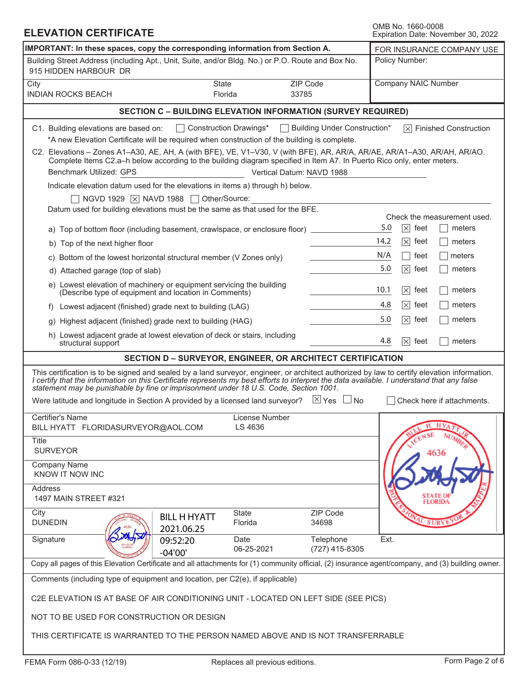#### **ELEVATION CERTIFICATE**<br> **ELEVATION CERTIFICATE** Expiration Date: November 30, 2022 IMPORTANT: In these spaces, copy the corresponding information from Section A. **FOR INSURANCE COMPANY USE** Policy Number: Building Street Address (including Apt., Unit, Suite, and/or Bldg. No.) or P.O. Route and Box No. 915 HIDDEN HARBOUR DR Company NAIC Number City State ZIP Code INDIAN ROCKS BEACH Florida 53785 **SECTION C – BUILDING ELEVATION INFORMATION (SURVEY REQUIRED)** Construction Drawings\* Building Under Construction\* Finished Construction C1. Building elevations are based on: \*A new Elevation Certificate will be required when construction of the building is complete. C2. Elevations – Zones A1–A30, AE, AH, A (with BFE), VE, V1–V30, V (with BFE), AR, AR/A, AR/AE, AR/A1–A30, AR/AH, AR/AO. Complete Items C2.a–h below according to the building diagram specified in Item A7. In Puerto Rico only, enter meters. Benchmark Utilized: GPS Vertical Datum: NAVD 1988 Indicate elevation datum used for the elevations in items a) through h) below.  $\Box$  NGVD 1929  $\boxtimes$  NAVD 1988  $\Box$  Other/Source: Datum used for building elevations must be the same as that used for the BFE. Check the measurement used. a) Top of bottom floor (including basement, crawlspace, or enclosure floor)  $5.0 \times$  feet meters 5.0 14.2  $\boxtimes$  feet  $\Box$  meters b) Top of the next higher floor N/A feet  $\Box$  meters  $\mathbf{1}$ c) Bottom of the lowest horizontal structural member (V Zones only) 5.0  $\boxtimes$  feet  $\Box$  meters d) Attached garage (top of slab) e) Lowest elevation of machinery or equipment servicing the building 10.1  $|\times|$  feet | | meters (Describe type of equipment and location in Comments) 4.8  $\boxtimes$  feet  $\Box$  meters f) Lowest adjacent (finished) grade next to building (LAG) 5.0 g) Highest adjacent (finished) grade next to building (HAG)  $|\times|$  feet | | meters h) Lowest adjacent grade at lowest elevation of deck or stairs, including 4.8  $[\times]$  feet  $\Box$  meters structural support **SECTION D – SURVEYOR, ENGINEER, OR ARCHITECT CERTIFICATION** This certification is to be signed and sealed by a land surveyor, engineer, or architect authorized by law to certify elevation information. *I certify that the information on this Certificate represents my best efforts to interpret the data available. I understand that any false statement may be punishable by fine or imprisonment under 18 U.S. Code, Section 1001.* Were latitude and longitude in Section A provided by a licensed land surveyor?  $\boxtimes$  Yes  $\Box$  No  $\Box$  Check here if attachments. Certifier's Name License Number BILL HYATT FLORIDASURVEYOR@AOL.COM LS 4636 **Title**  SURVEYOR Company Name KNOW IT NOW INC Address 1497 MAIN STREET #321 City State ZIP Code BILL H HYATT State ZIP Code BILL H HYATT<br>
Signature 2021.06.25<br>
Signature 2021.06.25<br>
Telephone 26-25-2021 Telephone Ext.<br>
Copy all pages of this Elevation Certificate and all attachments for (1) community official, (2) insurance agent/com<br>
Comments DUNEDIN **And Street The Country of Countries and Street Theories** 34698 2021.06.25 Signature  $\sqrt{\langle O \sqrt{M} \gamma^2 \nu \rangle}$  09:52:20 Date Telephone Ext. 09:52:20 06-25-2021 (727) 415-8305 -04'00'Copy all pages of this Elevation Certificate and all attachments for (1) community official, (2) insurance agent/company, and (3) building owner. Comments (including type of equipment and location, per C2(e), if applicable) C2E ELEVATION IS AT BASE OF AIR CONDITIONING UNIT - LOCATED ON LEFT SIDE (SEE PICS) NOT TO BE USED FOR CONSTRUCTION OR DESIGN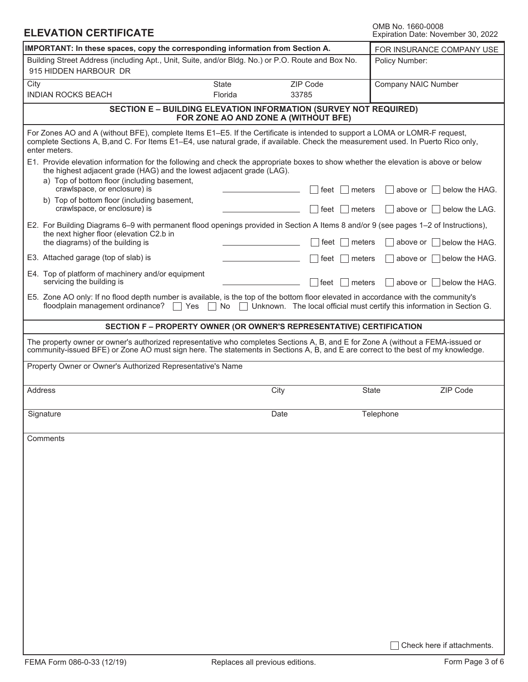| OMB No. 1660-0008                  |  |
|------------------------------------|--|
| Expiration Date: November 30, 2022 |  |

| <b>ELEVATION CERTIFICATE</b>                                                                                                                                                                                                                                                      |                                                                                                                 |                    | <b>OMB NO. 1660-0008</b><br>Expiration Date: November 30, 2022          |
|-----------------------------------------------------------------------------------------------------------------------------------------------------------------------------------------------------------------------------------------------------------------------------------|-----------------------------------------------------------------------------------------------------------------|--------------------|-------------------------------------------------------------------------|
| IMPORTANT: In these spaces, copy the corresponding information from Section A.                                                                                                                                                                                                    | FOR INSURANCE COMPANY USE                                                                                       |                    |                                                                         |
| Building Street Address (including Apt., Unit, Suite, and/or Bldg. No.) or P.O. Route and Box No.<br>915 HIDDEN HARBOUR DR                                                                                                                                                        |                                                                                                                 |                    | Policy Number:                                                          |
| City<br><b>INDIAN ROCKS BEACH</b>                                                                                                                                                                                                                                                 | <b>State</b><br>Florida                                                                                         | ZIP Code<br>33785  | <b>Company NAIC Number</b>                                              |
|                                                                                                                                                                                                                                                                                   | <b>SECTION E - BUILDING ELEVATION INFORMATION (SURVEY NOT REQUIRED)</b><br>FOR ZONE AO AND ZONE A (WITHOUT BFE) |                    |                                                                         |
| For Zones AO and A (without BFE), complete Items E1–E5. If the Certificate is intended to support a LOMA or LOMR-F request,<br>complete Sections A, B, and C. For Items E1-E4, use natural grade, if available. Check the measurement used. In Puerto Rico only,<br>enter meters. |                                                                                                                 |                    |                                                                         |
| E1. Provide elevation information for the following and check the appropriate boxes to show whether the elevation is above or below<br>the highest adjacent grade (HAG) and the lowest adjacent grade (LAG).                                                                      |                                                                                                                 |                    |                                                                         |
| a) Top of bottom floor (including basement,<br>crawlspace, or enclosure) is<br>b) Top of bottom floor (including basement,                                                                                                                                                        |                                                                                                                 | meters<br>feet     | above or $\vert$   below the HAG.                                       |
| crawlspace, or enclosure) is                                                                                                                                                                                                                                                      |                                                                                                                 | meters<br>feet     | above or $\vert$   below the LAG.                                       |
| E2. For Building Diagrams 6–9 with permanent flood openings provided in Section A Items 8 and/or 9 (see pages 1–2 of Instructions),<br>the next higher floor (elevation C2.b in                                                                                                   |                                                                                                                 |                    |                                                                         |
| the diagrams) of the building is                                                                                                                                                                                                                                                  |                                                                                                                 | feet<br>meters     | above or $\Box$ below the HAG.                                          |
| E3. Attached garage (top of slab) is<br>E4. Top of platform of machinery and/or equipment                                                                                                                                                                                         |                                                                                                                 | feet<br>meters     | above or $\parallel$ below the HAG.                                     |
| servicing the building is<br>E5. Zone AO only: If no flood depth number is available, is the top of the bottom floor elevated in accordance with the community's                                                                                                                  |                                                                                                                 | $ $ feet<br>meters | above or $\parallel$ below the HAG.                                     |
| floodplain management ordinance?                                                                                                                                                                                                                                                  | Yes<br>No                                                                                                       |                    | Unknown. The local official must certify this information in Section G. |
|                                                                                                                                                                                                                                                                                   | SECTION F - PROPERTY OWNER (OR OWNER'S REPRESENTATIVE) CERTIFICATION                                            |                    |                                                                         |
| The property owner or owner's authorized representative who completes Sections A, B, and E for Zone A (without a FEMA-issued or<br>community-issued BFE) or Zone AO must sign here. The statements in Sections A, B, and E are correct to the best of my knowledge.               |                                                                                                                 |                    |                                                                         |
| Property Owner or Owner's Authorized Representative's Name                                                                                                                                                                                                                        |                                                                                                                 |                    |                                                                         |
| <b>Address</b>                                                                                                                                                                                                                                                                    |                                                                                                                 | City               | State<br><b>ZIP Code</b>                                                |
| Signature                                                                                                                                                                                                                                                                         |                                                                                                                 | Date               | Telephone                                                               |
| Comments                                                                                                                                                                                                                                                                          |                                                                                                                 |                    |                                                                         |
|                                                                                                                                                                                                                                                                                   |                                                                                                                 |                    |                                                                         |
|                                                                                                                                                                                                                                                                                   |                                                                                                                 |                    |                                                                         |
|                                                                                                                                                                                                                                                                                   |                                                                                                                 |                    |                                                                         |
|                                                                                                                                                                                                                                                                                   |                                                                                                                 |                    |                                                                         |
|                                                                                                                                                                                                                                                                                   |                                                                                                                 |                    |                                                                         |
|                                                                                                                                                                                                                                                                                   |                                                                                                                 |                    |                                                                         |
|                                                                                                                                                                                                                                                                                   |                                                                                                                 |                    |                                                                         |
|                                                                                                                                                                                                                                                                                   |                                                                                                                 |                    |                                                                         |
|                                                                                                                                                                                                                                                                                   |                                                                                                                 |                    |                                                                         |
|                                                                                                                                                                                                                                                                                   |                                                                                                                 |                    |                                                                         |
|                                                                                                                                                                                                                                                                                   |                                                                                                                 |                    |                                                                         |
|                                                                                                                                                                                                                                                                                   |                                                                                                                 |                    |                                                                         |
|                                                                                                                                                                                                                                                                                   |                                                                                                                 |                    | Check here if attachments.                                              |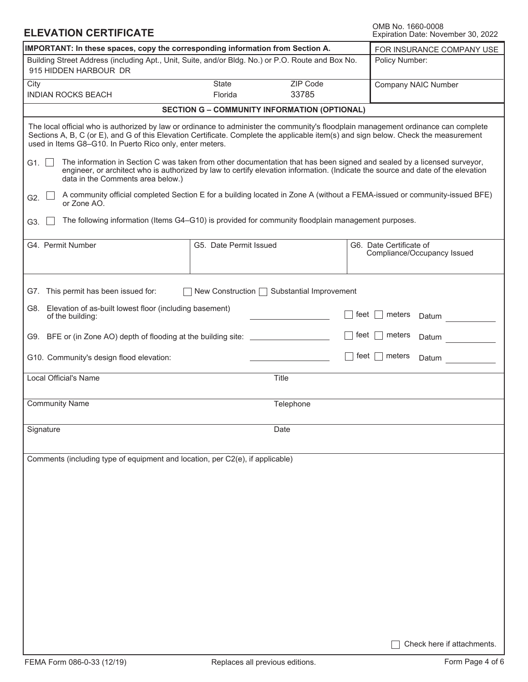## **ELEVATION CERTIFICATE**

OMB No. 1660-0008<br>Expiration Date: November 30, 2022

| IMPORTANT: In these spaces, copy the corresponding information from Section A.                                                                                                                                                                                                                                                         | FOR INSURANCE COMPANY USE |                                            |                                                                                                                           |  |  |  |  |  |
|----------------------------------------------------------------------------------------------------------------------------------------------------------------------------------------------------------------------------------------------------------------------------------------------------------------------------------------|---------------------------|--------------------------------------------|---------------------------------------------------------------------------------------------------------------------------|--|--|--|--|--|
| Building Street Address (including Apt., Unit, Suite, and/or Bldg. No.) or P.O. Route and Box No.<br>915 HIDDEN HARBOUR DR                                                                                                                                                                                                             | Policy Number:            |                                            |                                                                                                                           |  |  |  |  |  |
| City<br><b>INDIAN ROCKS BEACH</b>                                                                                                                                                                                                                                                                                                      | State<br>Florida          | <b>ZIP Code</b><br>33785                   | <b>Company NAIC Number</b>                                                                                                |  |  |  |  |  |
| <b>SECTION G - COMMUNITY INFORMATION (OPTIONAL)</b>                                                                                                                                                                                                                                                                                    |                           |                                            |                                                                                                                           |  |  |  |  |  |
| The local official who is authorized by law or ordinance to administer the community's floodplain management ordinance can complete<br>Sections A, B, C (or E), and G of this Elevation Certificate. Complete the applicable item(s) and sign below. Check the measurement<br>used in Items G8-G10. In Puerto Rico only, enter meters. |                           |                                            |                                                                                                                           |  |  |  |  |  |
| The information in Section C was taken from other documentation that has been signed and sealed by a licensed surveyor,<br>G1. $\vert \ \vert$<br>engineer, or architect who is authorized by law to certify elevation information. (Indicate the source and date of the elevation<br>data in the Comments area below.)                |                           |                                            |                                                                                                                           |  |  |  |  |  |
| G2.<br>or Zone AO.                                                                                                                                                                                                                                                                                                                     |                           |                                            | A community official completed Section E for a building located in Zone A (without a FEMA-issued or community-issued BFE) |  |  |  |  |  |
| The following information (Items G4-G10) is provided for community floodplain management purposes.<br>G3.                                                                                                                                                                                                                              |                           |                                            |                                                                                                                           |  |  |  |  |  |
| G4. Permit Number                                                                                                                                                                                                                                                                                                                      | G5. Date Permit Issued    |                                            | G6. Date Certificate of<br>Compliance/Occupancy Issued                                                                    |  |  |  |  |  |
| G7. This permit has been issued for:                                                                                                                                                                                                                                                                                                   |                           | New Construction ◯ Substantial Improvement |                                                                                                                           |  |  |  |  |  |
| G8. Elevation of as-built lowest floor (including basement)<br>of the building:                                                                                                                                                                                                                                                        |                           |                                            | feet<br>meters<br>Datum                                                                                                   |  |  |  |  |  |
| G9. BFE or (in Zone AO) depth of flooding at the building site: _______________                                                                                                                                                                                                                                                        |                           |                                            | feet<br>meters<br>Datum                                                                                                   |  |  |  |  |  |
| G10. Community's design flood elevation:                                                                                                                                                                                                                                                                                               |                           |                                            | feet  <br>meters<br>Datum                                                                                                 |  |  |  |  |  |
| Local Official's Name                                                                                                                                                                                                                                                                                                                  |                           | Title                                      |                                                                                                                           |  |  |  |  |  |
| <b>Community Name</b>                                                                                                                                                                                                                                                                                                                  |                           | Telephone                                  |                                                                                                                           |  |  |  |  |  |
| Signature                                                                                                                                                                                                                                                                                                                              |                           | Date                                       |                                                                                                                           |  |  |  |  |  |
| Comments (including type of equipment and location, per C2(e), if applicable)                                                                                                                                                                                                                                                          |                           |                                            |                                                                                                                           |  |  |  |  |  |
|                                                                                                                                                                                                                                                                                                                                        |                           |                                            |                                                                                                                           |  |  |  |  |  |
|                                                                                                                                                                                                                                                                                                                                        |                           |                                            |                                                                                                                           |  |  |  |  |  |
|                                                                                                                                                                                                                                                                                                                                        |                           |                                            |                                                                                                                           |  |  |  |  |  |
|                                                                                                                                                                                                                                                                                                                                        |                           |                                            |                                                                                                                           |  |  |  |  |  |
|                                                                                                                                                                                                                                                                                                                                        |                           |                                            |                                                                                                                           |  |  |  |  |  |
|                                                                                                                                                                                                                                                                                                                                        |                           |                                            |                                                                                                                           |  |  |  |  |  |
|                                                                                                                                                                                                                                                                                                                                        |                           |                                            |                                                                                                                           |  |  |  |  |  |
|                                                                                                                                                                                                                                                                                                                                        |                           |                                            | Check here if attachments.                                                                                                |  |  |  |  |  |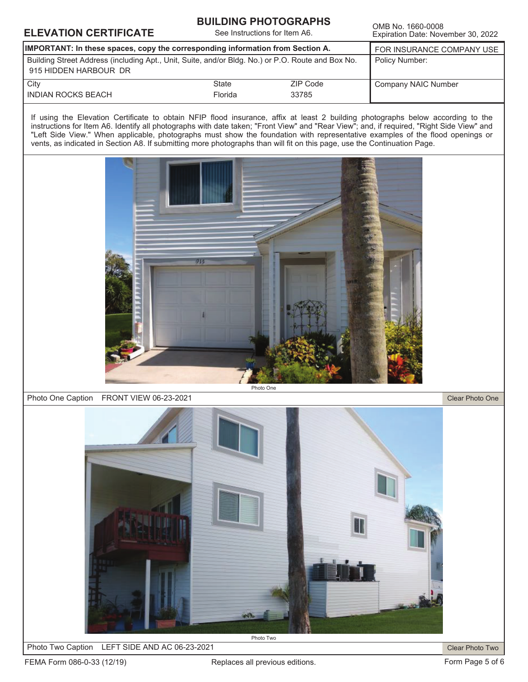## **ELEVATION CERTIFICATE**<br>Expiration Date: Nove

### **BUILDING PHOTOGRAPHS**

See Instructions for Item A6.

Expiration Date: November 30, 2022

| <b>IMPORTANT:</b> In these spaces, copy the corresponding information from Section A.                                      | FOR INSURANCE COMPANY USE |          |                     |
|----------------------------------------------------------------------------------------------------------------------------|---------------------------|----------|---------------------|
| Building Street Address (including Apt., Unit, Suite, and/or Bldg. No.) or P.O. Route and Box No.<br>915 HIDDEN HARBOUR DR | Policy Number:            |          |                     |
| City                                                                                                                       | State                     | ZIP Code | Company NAIC Number |
| <b>INDIAN ROCKS BEACH</b>                                                                                                  |                           |          |                     |

If using the Elevation Certificate to obtain NFIP flood insurance, affix at least 2 building photographs below according to the instructions for Item A6. Identify all photographs with date taken; "Front View" and "Rear View"; and, if required, "Right Side View" and "Left Side View." When applicable, photographs must show the foundation with representative examples of the flood openings or vents, as indicated in Section A8. If submitting more photographs than will fit on this page, use the Continuation Page.



#### Photo One Caption FRONT VIEW 06-23-2021

Clear Photo One



Photo Two Caption LEFT SIDE AND AC 06-23-2021